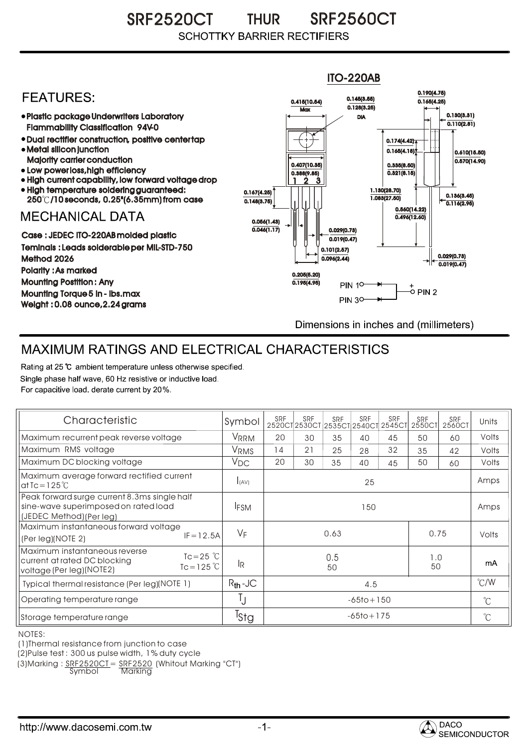SRF2520CT THUR SRF2560CT THUR **SCHOTTKY BARRIER RECTIFIERS** 



## MAXIMUM RATINGS AND ELECTRICAL CHARACTERISTICS

Rating at 25 °C ambient temperature unless otherwise specified. Single phase half wave, 60 Hz resistive or inductive load. For capacitive load, derate current by 20%.

| Characteristic                                                                                                                              | Symbol            | <b>SRF</b>             | <b>SRF</b> | <b>SRF</b> | SRF | SRF<br>2520CT2530CT2535CT2540CT2545CT | <b>SRF</b><br>2550CT | SRF<br>2560CT        | Units |
|---------------------------------------------------------------------------------------------------------------------------------------------|-------------------|------------------------|------------|------------|-----|---------------------------------------|----------------------|----------------------|-------|
| Maximum recurrent peak reverse voltage                                                                                                      | VRRM              | 20                     | 30         | 35         | 40  | 45                                    | 50                   | 60                   | Volts |
| Maximum RMS voltage                                                                                                                         | V <sub>RMS</sub>  | 14                     | 21         | 25         | 28  | 32                                    | 35                   | 42                   | Volts |
| Maximum DC blocking voltage                                                                                                                 | $V_{\mathsf{DC}}$ | 20                     | 30         | 35         | 40  | 45                                    | 50                   | 60                   | Volts |
| Maximum average forward rectified current<br>at Tc = $125^{\circ}$ C                                                                        | I(AV)             | 25                     |            |            |     |                                       |                      |                      | Amps  |
| Peak forward surge current 8.3ms single half<br>sine-wave superimposed on rated load<br>(JEDEC Method) (Per lea)                            | <b>IFSM</b>       | 150                    |            |            |     |                                       |                      |                      | Amps  |
| Maximum instantaneous forward voltage<br>$IF = 12.5A$<br>(Per leg)(NOTE 2)                                                                  | $V_F$             | 0.63<br>0.75           |            |            |     |                                       |                      | Volts                |       |
| Maximum instantaneous reverse<br>$Tc = 25$ $\degree$ C<br>current at rated DC blocking<br>$Tc = 125^{\circ}$ C<br>voltage (Per leg) (NOTE2) | <b>IR</b>         | 0.5<br>1.0<br>50<br>50 |            |            |     |                                       |                      | mA                   |       |
| Typical thermal resistance (Per leg)(NOTE 1)                                                                                                | $R_{th}$ -JC      | 4.5                    |            |            |     |                                       |                      | $\degree$ C/W        |       |
| Operating temperature range                                                                                                                 | IJ                | $-65$ to + 150         |            |            |     |                                       |                      | $^{\circ}$ C         |       |
| Storage temperature range                                                                                                                   | <sup>T</sup> stg  | $-65$ to + 175         |            |            |     |                                       |                      | $\mathrm{C}^{\circ}$ |       |

NOTES:

(1)Thermal resistance from junction to case

(2)Pulse test : 300 us pulse width, 1% duty cycle

(3)Marking : SRF2520CT = SRF2520 (Whitout Marking "CT")

Symbol Marking